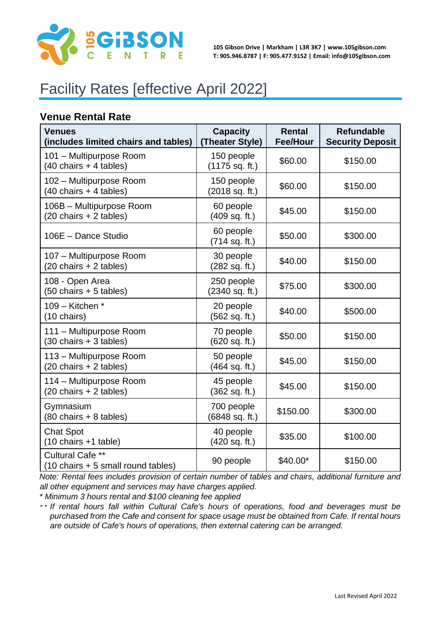

**105 Gibson Drive | Markham | L3R 3K7 | www.105gibson.com T: 905.946.8787 | F: 905.477.9152 | Email: info@105gibson.com**

# Facility Rates [effective April 2022]

#### **Venue Rental Rate**

| <b>Venues</b><br>(includes limited chairs and tables)                    | <b>Capacity</b><br>(Theater Style) | Rental<br><b>Fee/Hour</b> | <b>Refundable</b><br><b>Security Deposit</b> |
|--------------------------------------------------------------------------|------------------------------------|---------------------------|----------------------------------------------|
| 101 - Multipurpose Room<br>$(40 \text{ chairs} + 4 \text{ tables})$      | 150 people<br>$(1175$ sq. ft.)     | \$60.00                   | \$150.00                                     |
| 102 - Multipurpose Room<br>(40 chairs + 4 tables)                        | 150 people<br>(2018 sq. ft.)       | \$60.00                   | \$150.00                                     |
| 106B - Multipurpose Room<br>(20 chairs + 2 tables)                       | 60 people<br>(409 sq. ft.)         | \$45.00                   | \$150.00                                     |
| 106E - Dance Studio                                                      | 60 people<br>$(714$ sq. ft.)       | \$50.00                   | \$300.00                                     |
| 107 - Multipurpose Room<br>(20 chairs + 2 tables)                        | 30 people<br>(282 sq. ft.)         | \$40.00                   | \$150.00                                     |
| 108 - Open Area<br>$(50 \text{ chairs} + 5 \text{ tables})$              | 250 people<br>(2340 sq. ft.)       | \$75.00                   | \$300.00                                     |
| 109 - Kitchen *<br>(10 chairs)                                           | 20 people<br>(562 sq. ft.)         | \$40.00                   | \$500.00                                     |
| 111 - Multipurpose Room<br>$(30 \text{ chairs} + 3 \text{ tables})$      | 70 people<br>(620 sq. ft.)         | \$50.00                   | \$150.00                                     |
| 113 - Multipurpose Room<br>(20 chairs + 2 tables)                        | 50 people<br>(464 sq. ft.)         | \$45.00                   | \$150.00                                     |
| 114 - Multipurpose Room<br>(20 chairs + 2 tables)                        | 45 people<br>(362 sq. ft.)         | \$45.00                   | \$150.00                                     |
| Gymnasium<br>(80 chairs + 8 tables)                                      | 700 people<br>(6848 sq. ft.)       | \$150.00                  | \$300.00                                     |
| <b>Chat Spot</b><br>(10 chairs +1 table)                                 | 40 people<br>(420 sq. ft.)         | \$35.00                   | \$100.00                                     |
| Cultural Cafe **<br>$(10 \text{ chairs} + 5 \text{ small round tables})$ | 90 people                          | $$40.00*$                 | \$150.00                                     |

*Note: Rental fees includes provision of certain number of tables and chairs, additional furniture and all other equipment and services may have charges applied.*

*\* Minimum 3 hours rental and \$100 cleaning fee applied*

*\* \* If rental hours fall within Cultural Cafe's hours of operations, food and beverages must be purchased from the Cafe and consent for space usage must be obtained from Cafe. If rental hours are outside of Cafe's hours of operations, then external catering can be arranged.*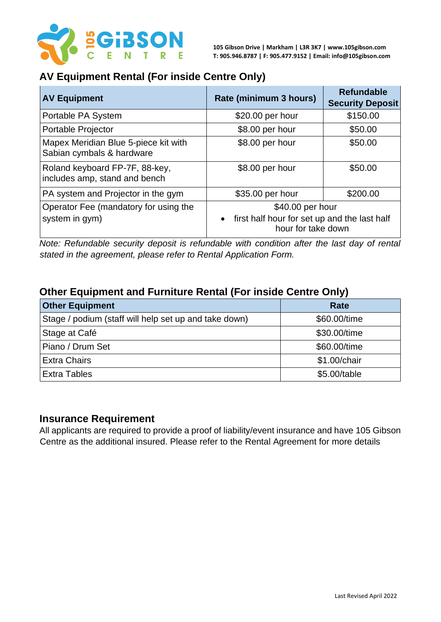

#### **AV Equipment Rental (For inside Centre Only)**

| <b>AV Equipment</b>                                               | Rate (minimum 3 hours)                                                                              | <b>Refundable</b><br><b>Security Deposit</b> |
|-------------------------------------------------------------------|-----------------------------------------------------------------------------------------------------|----------------------------------------------|
| Portable PA System                                                | \$20.00 per hour                                                                                    | \$150.00                                     |
| Portable Projector                                                | \$8.00 per hour                                                                                     | \$50.00                                      |
| Mapex Meridian Blue 5-piece kit with<br>Sabian cymbals & hardware | \$8.00 per hour                                                                                     | \$50.00                                      |
| Roland keyboard FP-7F, 88-key,<br>includes amp, stand and bench   | \$8.00 per hour                                                                                     | \$50.00                                      |
| PA system and Projector in the gym                                | \$35.00 per hour                                                                                    | \$200.00                                     |
| Operator Fee (mandatory for using the<br>system in gym)           | \$40.00 per hour<br>first half hour for set up and the last half<br>$\bullet$<br>hour for take down |                                              |

*Note: Refundable security deposit is refundable with condition after the last day of rental stated in the agreement, please refer to Rental Application Form.* 

### **Other Equipment and Furniture Rental (For inside Centre Only)**

| <b>Other Equipment</b>                                | Rate         |
|-------------------------------------------------------|--------------|
| Stage / podium (staff will help set up and take down) | \$60.00/time |
| Stage at Café                                         | \$30.00/time |
| Piano / Drum Set                                      | \$60.00/time |
| <b>Extra Chairs</b>                                   | \$1.00/chair |
| <b>Extra Tables</b>                                   | \$5.00/table |

#### **Insurance Requirement**

All applicants are required to provide a proof of liability/event insurance and have 105 Gibson Centre as the additional insured. Please refer to the Rental Agreement for more details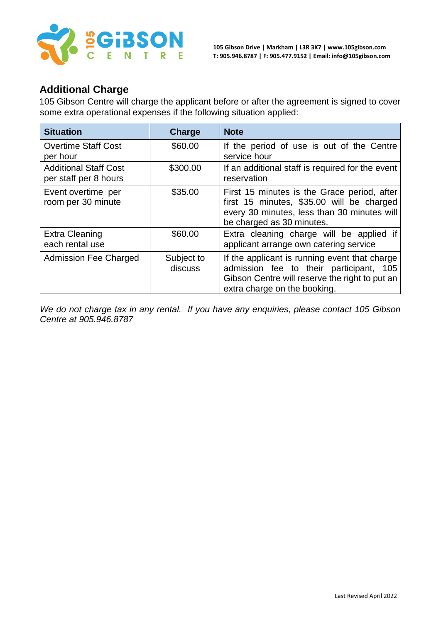

#### **Additional Charge**

105 Gibson Centre will charge the applicant before or after the agreement is signed to cover some extra operational expenses if the following situation applied:

| <b>Situation</b>                                      | <b>Charge</b>         | <b>Note</b>                                                                                                                                                                |
|-------------------------------------------------------|-----------------------|----------------------------------------------------------------------------------------------------------------------------------------------------------------------------|
| <b>Overtime Staff Cost</b><br>per hour                | \$60.00               | If the period of use is out of the Centre<br>service hour                                                                                                                  |
| <b>Additional Staff Cost</b><br>per staff per 8 hours | \$300.00              | If an additional staff is required for the event<br>reservation                                                                                                            |
| Event overtime per<br>room per 30 minute              | \$35.00               | First 15 minutes is the Grace period, after<br>first 15 minutes, \$35.00 will be charged<br>every 30 minutes, less than 30 minutes will<br>be charged as 30 minutes.       |
| <b>Extra Cleaning</b><br>each rental use              | \$60.00               | Extra cleaning charge will be applied if<br>applicant arrange own catering service                                                                                         |
| <b>Admission Fee Charged</b>                          | Subject to<br>discuss | If the applicant is running event that charge<br>admission fee to their participant, 105<br>Gibson Centre will reserve the right to put an<br>extra charge on the booking. |

*We do not charge tax in any rental. If you have any enquiries, please contact 105 Gibson Centre at 905.946.8787*